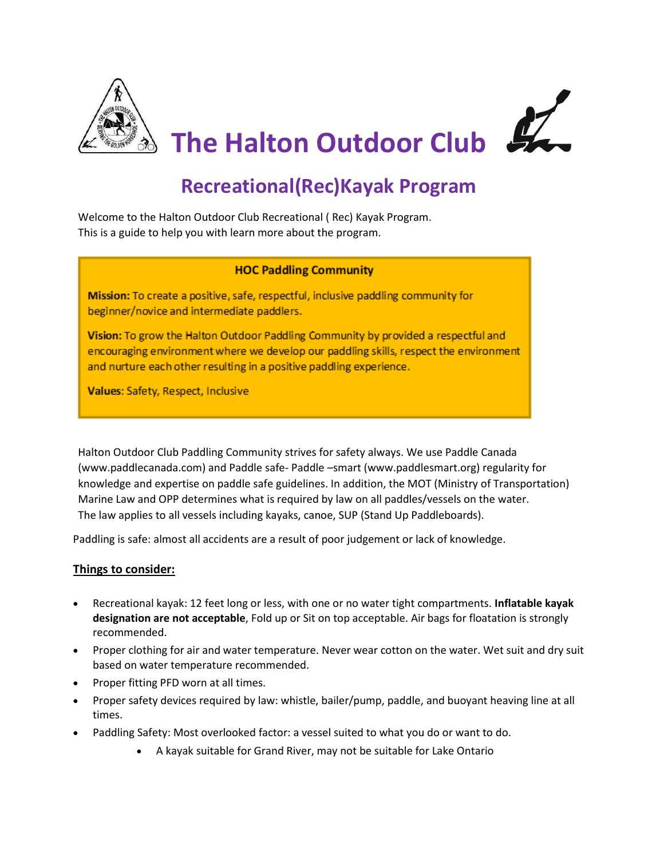

# **Recreational(Rec)Kayak Program**

Welcome to the Halton Outdoor Club Recreational ( Rec) Kayak Program. This is a guide to help you with learn more about the program.

### **HOC Paddling Community**

Mission: To create a positive, safe, respectful, inclusive paddling community for beginner/novice and intermediate paddlers.

Vision: To grow the Halton Outdoor Paddling Community by provided a respectful and encouraging environment where we develop our paddling skills, respect the environment and nurture each other resulting in a positive paddling experience.

Values: Safety, Respect, Inclusive

Halton Outdoor Club Paddling Community strives for safety always. We use Paddle Canada (www.paddlecanada.com) and Paddle safe- Paddle –smart (www.paddlesmart.org) regularity for knowledge and expertise on paddle safe guidelines. In addition, the MOT (Ministry of Transportation) Marine Law and OPP determines what is required by law on all paddles/vessels on the water. The law applies to all vessels including kayaks, canoe, SUP (Stand Up Paddleboards).

Paddling is safe: almost all accidents are a result of poor judgement or lack of knowledge.

# **Things to consider:**

- Recreational kayak: 12 feet long or less, with one or no water tight compartments. **Inflatable kayak designation are not acceptable**, Fold up or Sit on top acceptable. Air bags for floatation is strongly recommended.
- Proper clothing for air and water temperature. Never wear cotton on the water. Wet suit and dry suit based on water temperature recommended.
- Proper fitting PFD worn at all times.
- Proper safety devices required by law: whistle, bailer/pump, paddle, and buoyant heaving line at all times.
- Paddling Safety: Most overlooked factor: a vessel suited to what you do or want to do.
	- A kayak suitable for Grand River, may not be suitable for Lake Ontario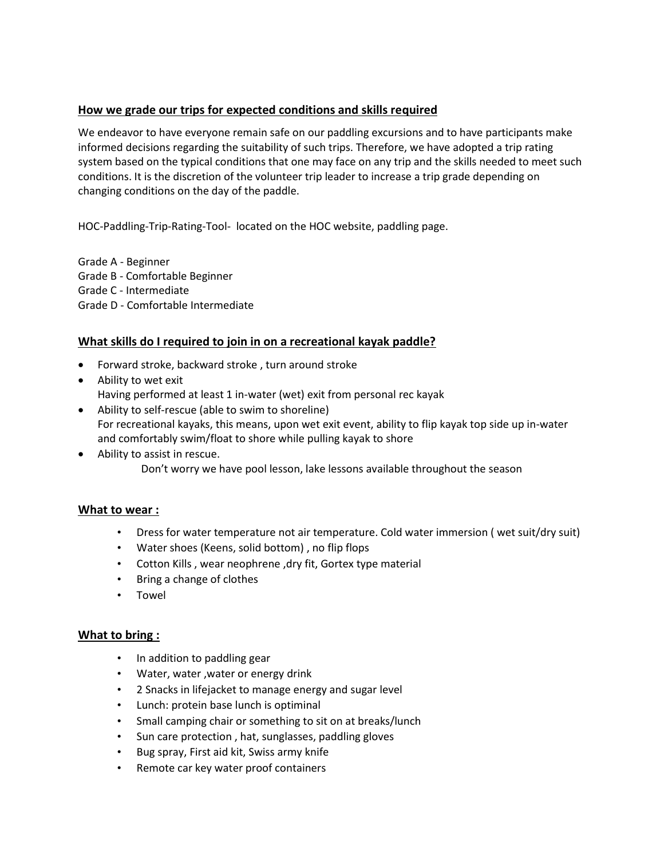# **How we grade our trips for expected conditions and skills required**

We endeavor to have everyone remain safe on our paddling excursions and to have participants make informed decisions regarding the suitability of such trips. Therefore, we have adopted a trip rating system based on the typical conditions that one may face on any trip and the skills needed to meet such conditions. It is the discretion of the volunteer trip leader to increase a trip grade depending on changing conditions on the day of the paddle.

[HOC-Paddling-Trip-Rating-Tool-](https://haltonoutdoorclub.ca/resources/WebPageContent/paddling-main/HOC-Paddling-Trip-Rating-Tool-VERSION1.1.pdf) located on the HOC website, paddling page.

Grade A - Beginner Grade B - Comfortable Beginner Grade C - Intermediate Grade D - Comfortable Intermediate

# **What skills do I required to join in on a recreational kayak paddle?**

- Forward stroke, backward stroke , turn around stroke
- Ability to wet exit Having performed at least 1 in-water (wet) exit from personal rec kayak
- Ability to self-rescue (able to swim to shoreline) For recreational kayaks, this means, upon wet exit event, ability to flip kayak top side up in-water and comfortably swim/float to shore while pulling kayak to shore
- Ability to assist in rescue. Don't worry we have pool lesson, lake lessons available throughout the season

# **What to wear :**

- Dress for water temperature not air temperature. Cold water immersion ( wet suit/dry suit)
- Water shoes (Keens, solid bottom) , no flip flops
- Cotton Kills , wear neophrene ,dry fit, Gortex type material
- Bring a change of clothes
- Towel

#### **What to bring :**

- In addition to paddling gear
- Water, water ,water or energy drink
- 2 Snacks in lifejacket to manage energy and sugar level
- Lunch: protein base lunch is optiminal
- Small camping chair or something to sit on at breaks/lunch
- Sun care protection , hat, sunglasses, paddling gloves
- Bug spray, First aid kit, Swiss army knife
- Remote car key water proof containers